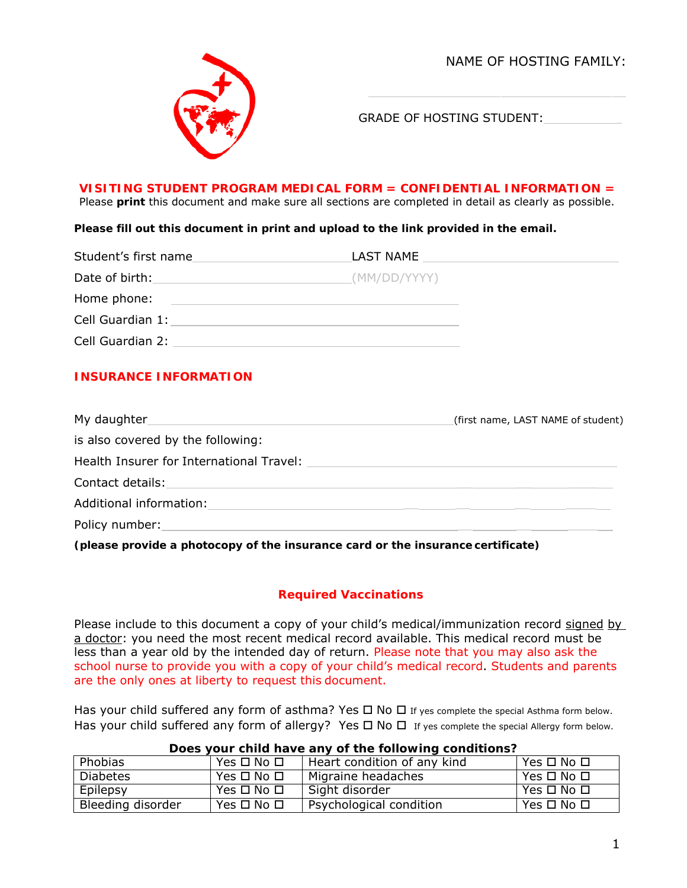NAME OF HOSTING FAMILY:



GRADE OF HOSTING STUDENT:

#### **VISITING STUDENT PROGRAM MEDICAL FORM = CONFIDENTIAL INFORMATION =**

Please **print** this document and make sure all sections are completed in detail as clearly as possible.

**Please fill out this document in print and upload to the link provided in the email.** 

| Student's first name                                                                                                                                                                                                                                   | LAST NAME    |
|--------------------------------------------------------------------------------------------------------------------------------------------------------------------------------------------------------------------------------------------------------|--------------|
| Date of birth:<br><u>and the state of the state of the state of the state of the state of the state of the state of the state of the state of the state of the state of the state of the state of the state of the state of the state of the state</u> | (MM/DD/YYYY) |
| Home phone:                                                                                                                                                                                                                                            |              |
| Cell Guardian 1:                                                                                                                                                                                                                                       |              |
| Cell Guardian 2:                                                                                                                                                                                                                                       |              |

## **INSURANCE INFORMATION**

| My daughter Manual Albert Manual Albert Manual Albert Manual Albert Manual Albert Manual Albert Manual Albert | (first name, LAST NAME of student) |
|---------------------------------------------------------------------------------------------------------------|------------------------------------|
| is also covered by the following:                                                                             |                                    |
| Health Insurer for International Travel:                                                                      |                                    |
| Contact details:                                                                                              |                                    |
| Additional information:                                                                                       |                                    |
| Policy number:                                                                                                |                                    |

**(please provide a photocopy of the insurance card or the insurance certificate)** 

## **Required Vaccinations**

Please include to this document a copy of your child's medical/immunization record signed by a doctor: you need the most recent medical record available. This medical record must be less than a year old by the intended day of return. Please note that you may also ask the school nurse to provide you with a copy of your child's medical record. Students and parents are the only ones at liberty to request this document.

Has your child suffered any form of asthma? Yes  $\Box$  No  $\Box$  If yes complete the special Asthma form below. Has your child suffered any form of allergy? Yes  $\Box$  No  $\Box$  If yes complete the special Allergy form below.

| Phobias           | Yes $\Box$ No $\Box$       | Heart condition of any kind | Yes $\square$ No $\square$ |
|-------------------|----------------------------|-----------------------------|----------------------------|
| <b>Diabetes</b>   | Yes $\square$ No $\square$ | Migraine headaches          | $Yes \Box No \Box$         |
| Epilepsy          | Yes $\square$ No $\square$ | l Sight disorder            | $Yes \Box No \Box$         |
| Bleeding disorder | Yes $\square$ No $\square$ | Psychological condition     | Yes $\Box$ No $\Box$       |

#### **Does your child have any of the following conditions?**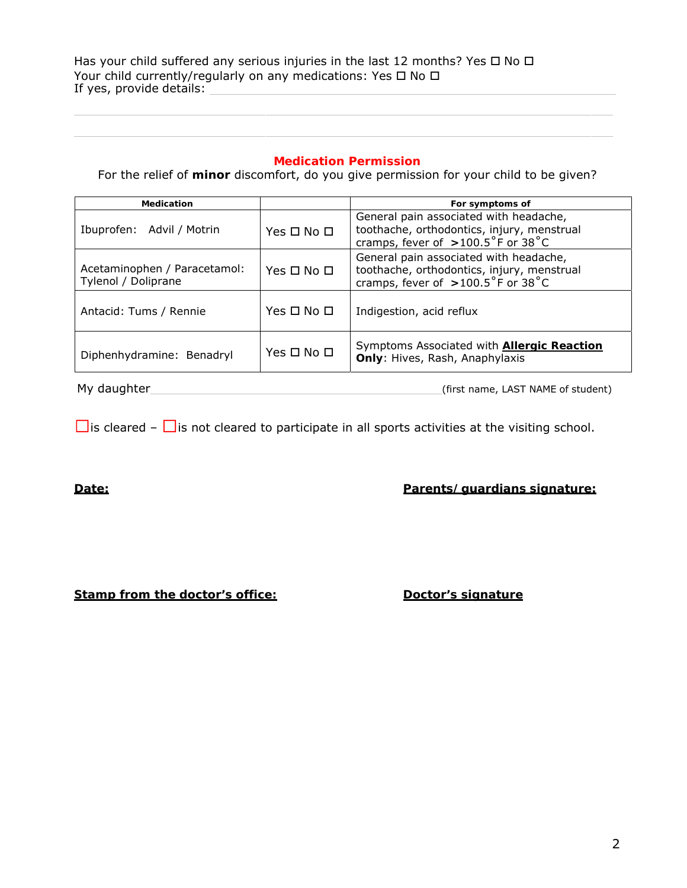Has your child suffered any serious injuries in the last 12 months? Yes  $\Box$  No  $\Box$ Your child currently/regularly on any medications: Yes  $\Box$  No  $\Box$ If yes, provide details:

## **Medication Permission**

For the relief of **minor** discomfort, do you give permission for your child to be given?

| <b>Medication</b>                                   |                    | For symptoms of                                                                                                                             |
|-----------------------------------------------------|--------------------|---------------------------------------------------------------------------------------------------------------------------------------------|
| Ibuprofen: Advil / Motrin                           | $Yes \Box No \Box$ | General pain <i>associated with</i> headache,<br>toothache, orthodontics, injury, menstrual<br>cramps, fever of $>100.5^{\circ}$ F or 38 °C |
| Acetaminophen / Paracetamol:<br>Tylenol / Doliprane | $Yes \Box No \Box$ | General pain <i>associated with</i> headache,<br>toothache, orthodontics, injury, menstrual<br>cramps, fever of $>100.5^{\circ}$ F or 38 °C |
| Antacid: Tums / Rennie                              | $Yes \Box No \Box$ | Indigestion, acid reflux                                                                                                                    |
| Diphenhydramine: Benadryl                           | Yes □ No □         | Symptoms Associated with <b>Allergic Reaction</b><br>Only: Hives, Rash, Anaphylaxis                                                         |

My daughter (first name, LAST NAME of student)

 $\Box$ is cleared –  $\Box$ is not cleared to participate in all sports activities at the visiting school.

**Date: Parents/guardians signature:** 

**Stamp from the doctor's office:** Doctor's signature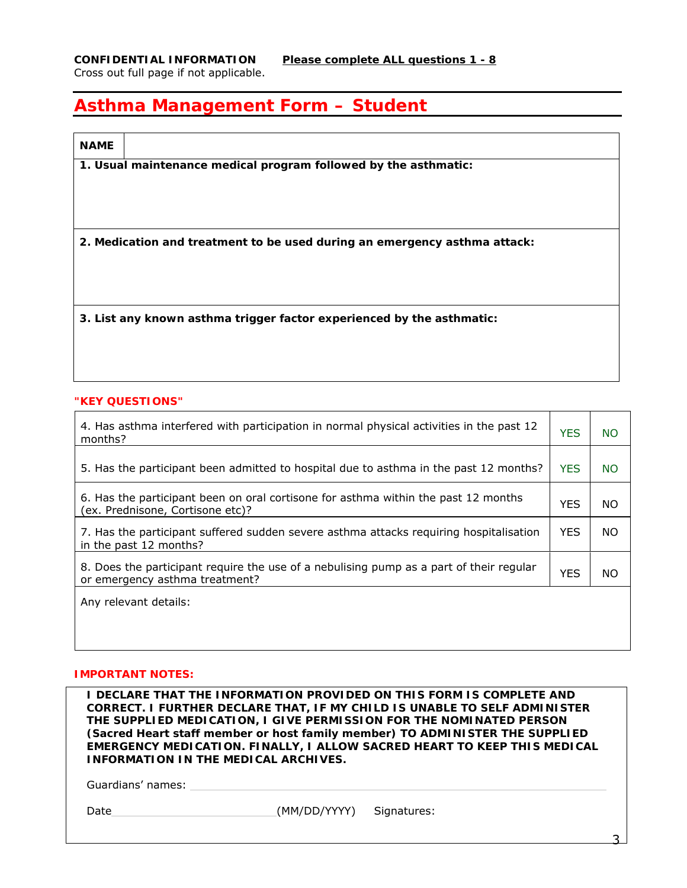# **Asthma Management Form – Student**

| <b>NAME</b> |                                                                           |
|-------------|---------------------------------------------------------------------------|
|             | 1. Usual maintenance medical program followed by the asthmatic:           |
|             |                                                                           |
|             |                                                                           |
|             |                                                                           |
|             |                                                                           |
|             | 2. Medication and treatment to be used during an emergency asthma attack: |
|             |                                                                           |
|             |                                                                           |
|             |                                                                           |
|             | 3. List any known asthma trigger factor experienced by the asthmatic:     |
|             |                                                                           |
|             |                                                                           |
|             |                                                                           |
|             |                                                                           |
|             | "KEY QUESTIONS"                                                           |

| 4. Has asthma interfered with participation in normal physical activities in the past 12<br>months?                       | <b>YES</b> | <b>NO</b> |
|---------------------------------------------------------------------------------------------------------------------------|------------|-----------|
|                                                                                                                           |            |           |
| 5. Has the participant been admitted to hospital due to asthma in the past 12 months?                                     | <b>YES</b> | <b>NO</b> |
| 6. Has the participant been on oral cortisone for asthma within the past 12 months<br>(ex. Prednisone, Cortisone etc)?    | <b>YES</b> | <b>NO</b> |
| 7. Has the participant suffered sudden severe asthma attacks requiring hospitalisation<br>in the past 12 months?          | <b>YFS</b> | NO.       |
| 8. Does the participant require the use of a nebulising pump as a part of their regular<br>or emergency asthma treatment? | <b>YES</b> | NO.       |
| Any relevant details:                                                                                                     |            |           |

## **IMPORTANT NOTES:**

| <b>INFORMATION IN THE MEDICAL ARCHIVES.</b> |              | I DECLARE THAT THE INFORMATION PROVIDED ON THIS FORM IS COMPLETE AND<br><b>CORRECT. I FURTHER DECLARE THAT, IF MY CHILD IS UNABLE TO SELF ADMINISTER</b><br>THE SUPPLIED MEDICATION, I GIVE PERMISSION FOR THE NOMINATED PERSON<br>(Sacred Heart staff member or host family member) TO ADMINISTER THE SUPPLIED<br>EMERGENCY MEDICATION. FINALLY, I ALLOW SACRED HEART TO KEEP THIS MEDICAL |
|---------------------------------------------|--------------|---------------------------------------------------------------------------------------------------------------------------------------------------------------------------------------------------------------------------------------------------------------------------------------------------------------------------------------------------------------------------------------------|
| Guardians' names:                           |              |                                                                                                                                                                                                                                                                                                                                                                                             |
| Date                                        | (MM/DD/YYYY) | Signatures:                                                                                                                                                                                                                                                                                                                                                                                 |

3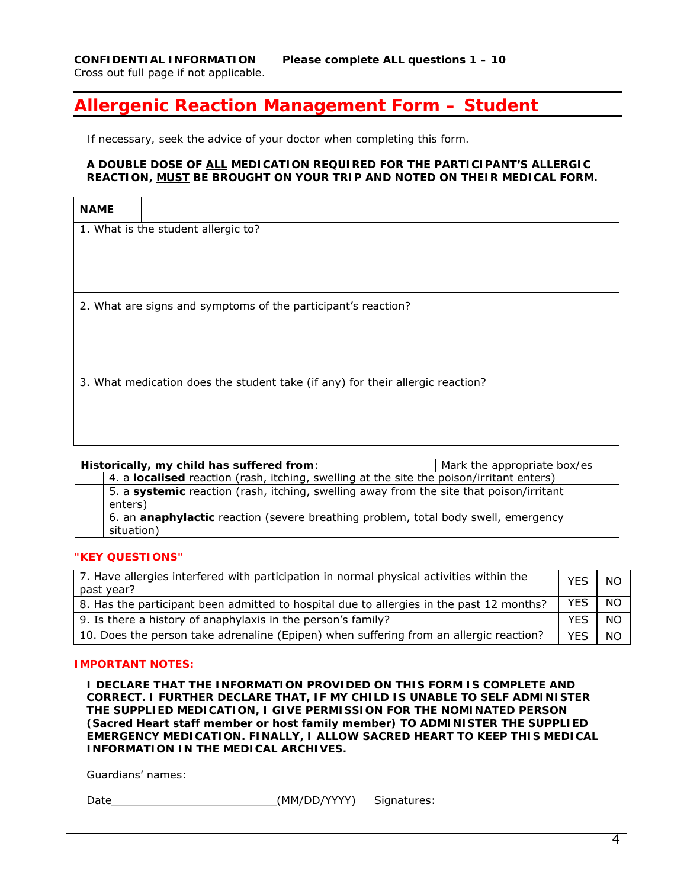## **Allergenic Reaction Management Form – Student**

*If necessary, seek the advice of your doctor when completing this form.* 

#### **A DOUBLE DOSE OF ALL MEDICATION REQUIRED FOR THE PARTICIPANT'S ALLERGIC REACTION, MUST BE BROUGHT ON YOUR TRIP AND NOTED ON THEIR MEDICAL FORM.**

| <b>NAME</b> |                                                                                |
|-------------|--------------------------------------------------------------------------------|
|             | 1. What is the student allergic to?                                            |
|             |                                                                                |
|             |                                                                                |
|             |                                                                                |
|             | 2. What are signs and symptoms of the participant's reaction?                  |
|             |                                                                                |
|             |                                                                                |
|             |                                                                                |
|             | 3. What medication does the student take (if any) for their allergic reaction? |
|             |                                                                                |
|             |                                                                                |
|             |                                                                                |

| Historically, my child has suffered from:                                                          | Mark the appropriate box/es |
|----------------------------------------------------------------------------------------------------|-----------------------------|
| 4. a localised reaction (rash, itching, swelling at the site the poison/irritant enters)           |                             |
| 5. a systemic reaction (rash, itching, swelling away from the site that poison/irritant<br>enters) |                             |
| 6. an anaphylactic reaction (severe breathing problem, total body swell, emergency<br>situation)   |                             |

#### **"KEY QUESTIONS"**

| 7. Have allergies interfered with participation in normal physical activities within the<br>past year? | <b>YES</b> | <b>NO</b> |
|--------------------------------------------------------------------------------------------------------|------------|-----------|
| 8. Has the participant been admitted to hospital due to allergies in the past 12 months?               | YES        | <b>NO</b> |
| 9. Is there a history of anaphylaxis in the person's family?                                           | <b>YFS</b> | <b>NO</b> |
| 10. Does the person take adrenaline (Epipen) when suffering from an allergic reaction?                 | <b>YES</b> | <b>NO</b> |

#### **IMPORTANT NOTES:**

**I DECLARE THAT THE INFORMATION PROVIDED ON THIS FORM IS COMPLETE AND CORRECT. I FURTHER DECLARE THAT, IF MY CHILD IS UNABLE TO SELF ADMINISTER THE SUPPLIED MEDICATION, I GIVE PERMISSION FOR THE NOMINATED PERSON (Sacred Heart staff member or host family member) TO ADMINISTER THE SUPPLIED EMERGENCY MEDICATION. FINALLY, I ALLOW SACRED HEART TO KEEP THIS MEDICAL INFORMATION IN THE MEDICAL ARCHIVES.** 

Guardians' names:

| Date | (MM/DD/YYYY) | Signatures: |
|------|--------------|-------------|
|      |              |             |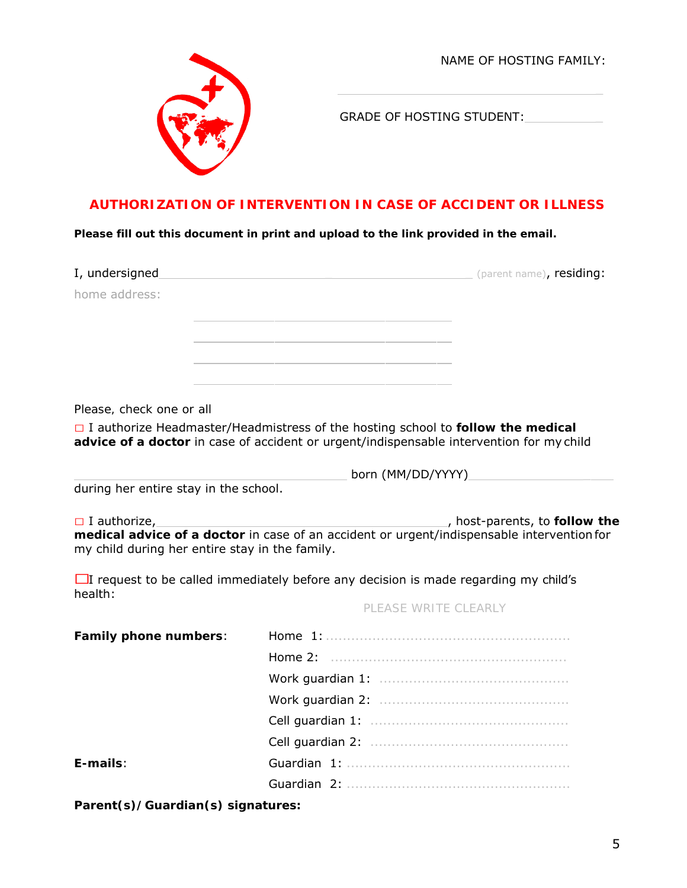NAME OF HOSTING FAMILY:



GRADE OF HOSTING STUDENT:

\_

## **AUTHORIZATION OF INTERVENTION IN CASE OF ACCIDENT OR ILLNESS**

**Please fill out this document in print and upload to the link provided in the email.** 

| I, undersigned                                 | (parent name), <b>residing:</b>                                                                                                                                                    |
|------------------------------------------------|------------------------------------------------------------------------------------------------------------------------------------------------------------------------------------|
| home address:                                  |                                                                                                                                                                                    |
|                                                |                                                                                                                                                                                    |
|                                                |                                                                                                                                                                                    |
|                                                |                                                                                                                                                                                    |
| Please, check one or all                       |                                                                                                                                                                                    |
|                                                | $\Box$ I authorize Headmaster/Headmistress of the hosting school to follow the medical<br>advice of a doctor in case of accident or urgent/indispensable intervention for my child |
|                                                | born (MM/DD/YYYY)                                                                                                                                                                  |
| during her entire stay in the school.          |                                                                                                                                                                                    |
| $\Box$ I authorize,                            | host-parents, to follow the                                                                                                                                                        |
| my child during her entire stay in the family. | medical advice of a doctor in case of an accident or urgent/indispensable intervention for                                                                                         |
| health:                                        | $\Box$ I request to be called immediately before any decision is made regarding my child's                                                                                         |
|                                                | PLEASE WRITE CLEARLY                                                                                                                                                               |
| Family phone numbers:                          |                                                                                                                                                                                    |
|                                                |                                                                                                                                                                                    |
|                                                |                                                                                                                                                                                    |

Work guardian 2: ............................................. Cell guardian 1: ...............................................

Cell guardian 2: ............................................... **E-mails**: Guardian 1: ..................................................... Guardian 2: .....................................................

**Parent(s)/Guardian(s) signatures:**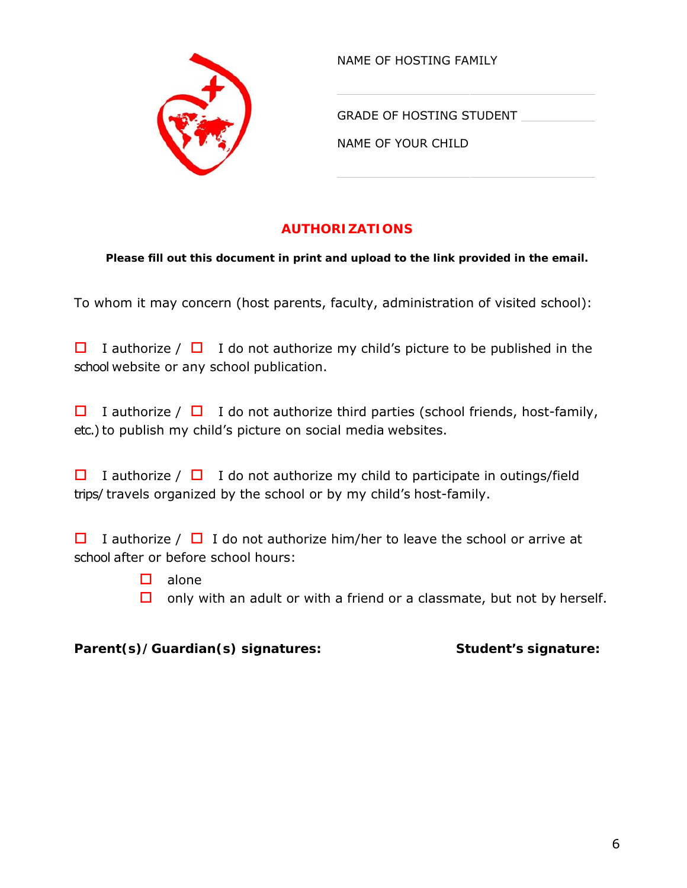

NAME OF HOSTING FAMILY

GRADE OF HOSTING STUDENT

NAME OF YOUR CHILD

## **AUTHORIZATIONS**

**Please fill out this document in print and upload to the link provided in the email.** 

To whom it may concern (host parents, faculty, administration of visited school):

 $\Box$  I authorize /  $\Box$  I do not authorize my child's picture to be published in the school website or any school publication.

 $\Box$  I authorize /  $\Box$  I do not authorize third parties (school friends, host-family, etc.) to publish my child's picture on social media websites.

 $\Box$  I authorize /  $\Box$  I do not authorize my child to participate in outings/field trips/ travels organized by the school or by my child's host-family.

 $\Box$  I authorize /  $\Box$  I do not authorize him/her to leave the school or arrive at school after or before school hours:

- $\Box$  alone
- $\Box$  only with an adult or with a friend or a classmate, but not by herself.

## Parent(s)/Guardian(s) signatures: Student's signature: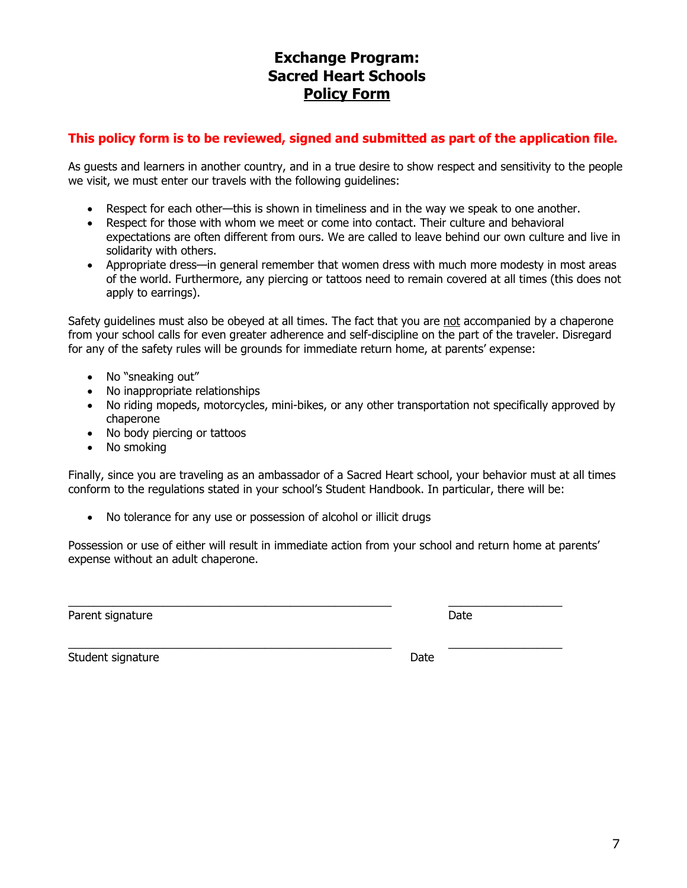## **Exchange Program: Sacred Heart Schools Policy Form**

## **This policy form is to be reviewed, signed and submitted as part of the application file.**

As guests and learners in another country, and in a true desire to show respect and sensitivity to the people we visit, we must enter our travels with the following guidelines:

- Respect for each other—this is shown in timeliness and in the way we speak to one another.
- Respect for those with whom we meet or come into contact. Their culture and behavioral expectations are often different from ours. We are called to leave behind our own culture and live in solidarity with others.
- Appropriate dress—in general remember that women dress with much more modesty in most areas of the world. Furthermore, any piercing or tattoos need to remain covered at all times (this does not apply to earrings).

Safety guidelines must also be obeyed at all times. The fact that you are not accompanied by a chaperone from your school calls for even greater adherence and self-discipline on the part of the traveler. Disregard for any of the safety rules will be grounds for immediate return home, at parents' expense:

- No "sneaking out"
- No inappropriate relationships
- No riding mopeds, motorcycles, mini-bikes, or any other transportation not specifically approved by chaperone
- No body piercing or tattoos
- No smoking

Finally, since you are traveling as an ambassador of a Sacred Heart school, your behavior must at all times conform to the regulations stated in your school's Student Handbook. In particular, there will be:

No tolerance for any use or possession of alcohol or illicit drugs

Possession or use of either will result in immediate action from your school and return home at parents' expense without an adult chaperone.

\_\_\_\_\_\_\_\_\_\_\_\_\_\_\_\_\_\_\_\_\_\_\_\_\_\_\_\_\_\_\_\_\_\_\_\_\_\_\_\_\_\_\_\_\_\_\_\_\_\_\_ \_\_\_\_\_\_\_\_\_\_\_\_\_\_\_\_\_\_

Parent signature Date Date of the Date of the Date Date Date of the Date Date of the Date of the Date of the D

\_\_\_\_\_\_\_\_\_\_\_\_\_\_\_\_\_\_\_\_\_\_\_\_\_\_\_\_\_\_\_\_\_\_\_\_\_\_\_\_\_\_\_\_\_\_\_\_\_\_\_ \_\_\_\_\_\_\_\_\_\_\_\_\_\_\_\_\_\_ Student signature Date Date Controller and the Date Date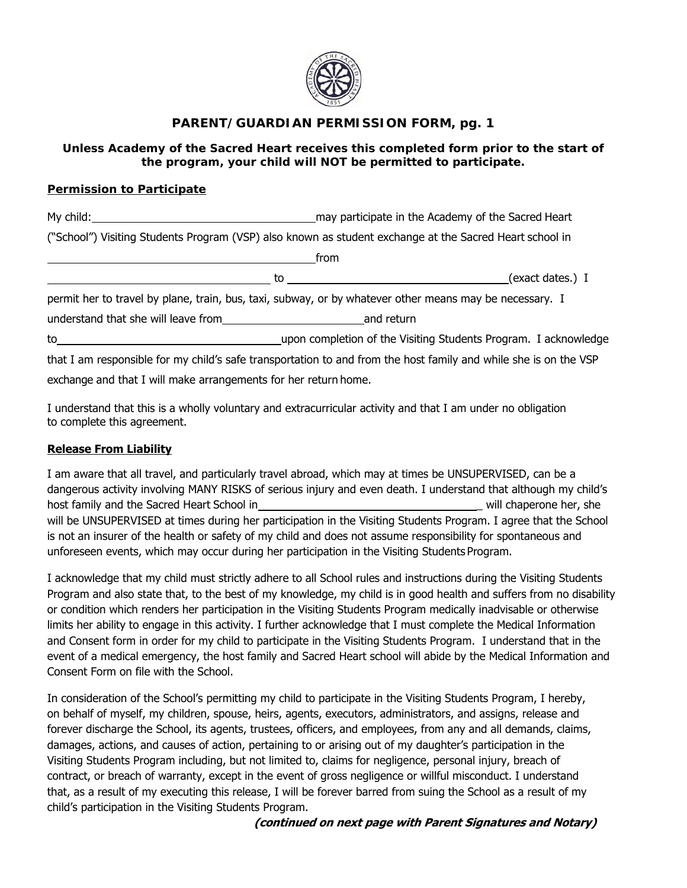

## **PARENT/GUARDIAN PERMISSION FORM, pg. 1**

## **Unless Academy of the Sacred Heart receives this completed form prior to the start of the program, your child will NOT be permitted to participate.**

## **Permission to Participate**

| My child:                                                       | may participate in the Academy of the Sacred Heart |                                                                                                                  |  |
|-----------------------------------------------------------------|----------------------------------------------------|------------------------------------------------------------------------------------------------------------------|--|
|                                                                 |                                                    | ("School") Visiting Students Program (VSP) also known as student exchange at the Sacred Heart school in          |  |
|                                                                 | from                                               |                                                                                                                  |  |
|                                                                 | to                                                 | (exact dates.) I                                                                                                 |  |
|                                                                 |                                                    | permit her to travel by plane, train, bus, taxi, subway, or by whatever other means may be necessary. I          |  |
| understand that she will leave from                             |                                                    | and return                                                                                                       |  |
| to                                                              |                                                    | upon completion of the Visiting Students Program. I acknowledge                                                  |  |
|                                                                 |                                                    | that I am responsible for my child's safe transportation to and from the host family and while she is on the VSP |  |
| exchange and that I will make arrangements for her return home. |                                                    |                                                                                                                  |  |

I understand that this is a wholly voluntary and extracurricular activity and that I am under no obligation to complete this agreement.

## **Release From Liability**

I am aware that all travel, and particularly travel abroad, which may at times be UNSUPERVISED, can be a dangerous activity involving MANY RISKS of serious injury and even death. I understand that although my child's host family and the Sacred Heart School in the state of will chaperone her, she will be UNSUPERVISED at times during her participation in the Visiting Students Program. I agree that the School is not an insurer of the health or safety of my child and does not assume responsibility for spontaneous and unforeseen events, which may occur during her participation in the Visiting Students Program.

I acknowledge that my child must strictly adhere to all School rules and instructions during the Visiting Students Program and also state that, to the best of my knowledge, my child is in good health and suffers from no disability or condition which renders her participation in the Visiting Students Program medically inadvisable or otherwise limits her ability to engage in this activity. I further acknowledge that I must complete the Medical Information and Consent form in order for my child to participate in the Visiting Students Program. I understand that in the event of a medical emergency, the host family and Sacred Heart school will abide by the Medical Information and Consent Form on file with the School.

In consideration of the School's permitting my child to participate in the Visiting Students Program, I hereby, on behalf of myself, my children, spouse, heirs, agents, executors, administrators, and assigns, release and forever discharge the School, its agents, trustees, officers, and employees, from any and all demands, claims, damages, actions, and causes of action, pertaining to or arising out of my daughter's participation in the Visiting Students Program including, but not limited to, claims for negligence, personal injury, breach of contract, or breach of warranty, except in the event of gross negligence or willful misconduct. I understand that, as a result of my executing this release, I will be forever barred from suing the School as a result of my child's participation in the Visiting Students Program.

**(continued on next page with Parent Signatures and Notary)**